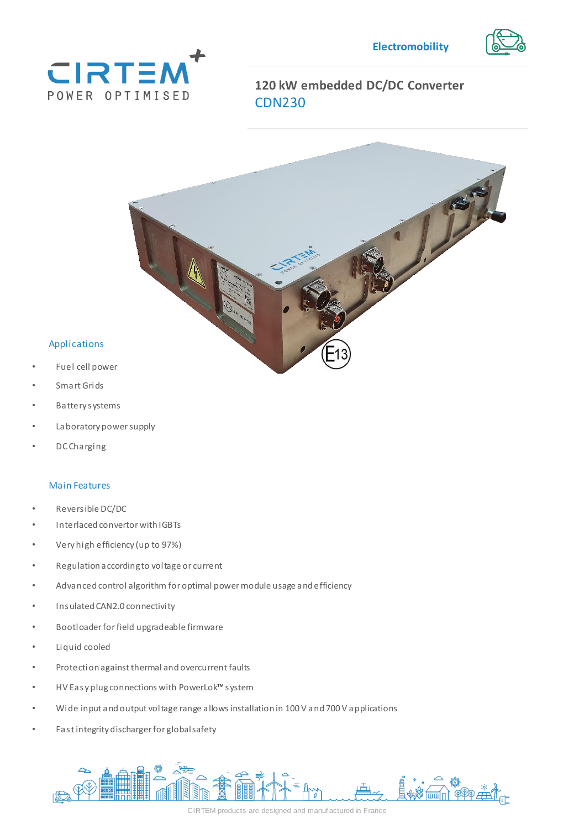



# **120 kW embedded DC/DC Converter**  CDN230



### Applications

- Fuel cell power
- Smart Grids
- power module usage and • Battery systems
- Laboratory power supply
- DC Charging

#### Main Features

- Reversible DC/DC
- Interlaced convertor with IGBTs
- Very high efficiency (up to 97%)
- Regulation according to voltage or current
- Advanced control algorithm for optimal power module usage and efficiency
- Insulated CAN2.0 connectivity
- Bootloader for field upgradeable firmware
- Liquid cooled
- Protection against thermal and overcurrent faults
- HV Easy plug connections with PowerLok™system
- Wide input and output voltage range allows installation in 100 V and 700 V applications
- Fast integrity discharger for global safety